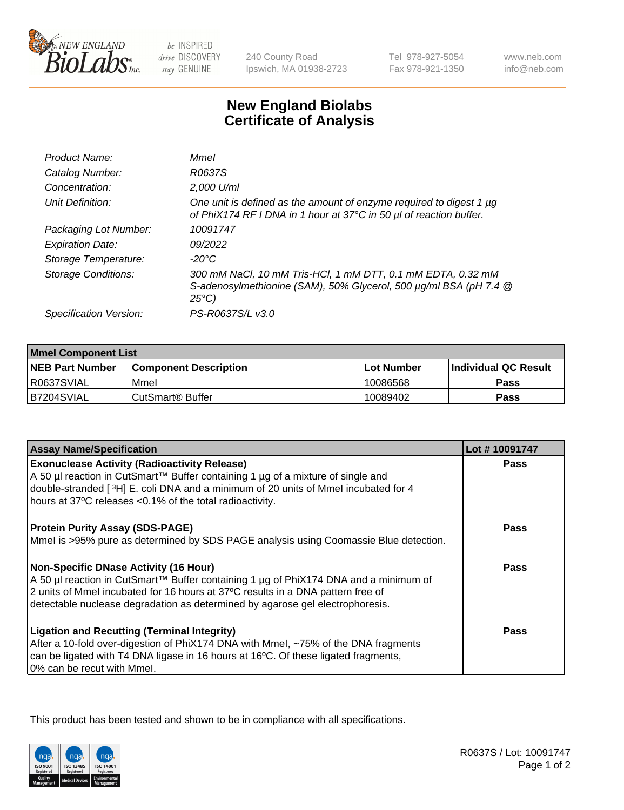

 $be$  INSPIRED drive DISCOVERY stay GENUINE

240 County Road Ipswich, MA 01938-2723 Tel 978-927-5054 Fax 978-921-1350

www.neb.com info@neb.com

## **New England Biolabs Certificate of Analysis**

| Product Name:              | Mmel                                                                                                                                                |
|----------------------------|-----------------------------------------------------------------------------------------------------------------------------------------------------|
| Catalog Number:            | R0637S                                                                                                                                              |
| Concentration:             | 2,000 U/ml                                                                                                                                          |
| Unit Definition:           | One unit is defined as the amount of enzyme required to digest 1 µg<br>of PhiX174 RF I DNA in 1 hour at 37°C in 50 µl of reaction buffer.           |
| Packaging Lot Number:      | 10091747                                                                                                                                            |
| <b>Expiration Date:</b>    | 09/2022                                                                                                                                             |
| Storage Temperature:       | -20°C                                                                                                                                               |
| <b>Storage Conditions:</b> | 300 mM NaCl, 10 mM Tris-HCl, 1 mM DTT, 0.1 mM EDTA, 0.32 mM<br>S-adenosylmethionine (SAM), 50% Glycerol, 500 µg/ml BSA (pH 7.4 @<br>$25^{\circ}C$ ) |
| Specification Version:     | PS-R0637S/L v3.0                                                                                                                                    |

| <b>Mmel Component List</b> |                         |                   |                             |  |
|----------------------------|-------------------------|-------------------|-----------------------------|--|
| <b>NEB Part Number</b>     | l Component Description | <b>Lot Number</b> | <b>Individual QC Result</b> |  |
| R0637SVIAL                 | Mmel                    | 10086568          | Pass                        |  |
| IB7204SVIAL                | l CutSmart® Buffer      | 10089402          | Pass                        |  |

| <b>Assay Name/Specification</b>                                                                                                                                                                                                                                                                            | Lot #10091747 |
|------------------------------------------------------------------------------------------------------------------------------------------------------------------------------------------------------------------------------------------------------------------------------------------------------------|---------------|
| <b>Exonuclease Activity (Radioactivity Release)</b><br>A 50 µl reaction in CutSmart™ Buffer containing 1 µg of a mixture of single and<br>double-stranded [3H] E. coli DNA and a minimum of 20 units of Mmel incubated for 4<br>hours at 37°C releases <0.1% of the total radioactivity.                   | <b>Pass</b>   |
| <b>Protein Purity Assay (SDS-PAGE)</b><br>Mmel is >95% pure as determined by SDS PAGE analysis using Coomassie Blue detection.                                                                                                                                                                             | Pass          |
| <b>Non-Specific DNase Activity (16 Hour)</b><br>  A 50 µl reaction in CutSmart™ Buffer containing 1 µg of PhiX174 DNA and a minimum of<br>2 units of Mmel incubated for 16 hours at 37°C results in a DNA pattern free of<br>detectable nuclease degradation as determined by agarose gel electrophoresis. | Pass          |
| <b>Ligation and Recutting (Terminal Integrity)</b><br>After a 10-fold over-digestion of PhiX174 DNA with Mmel, ~75% of the DNA fragments<br>can be ligated with T4 DNA ligase in 16 hours at 16°C. Of these ligated fragments,<br>0% can be recut with Mmel.                                               | Pass          |

This product has been tested and shown to be in compliance with all specifications.